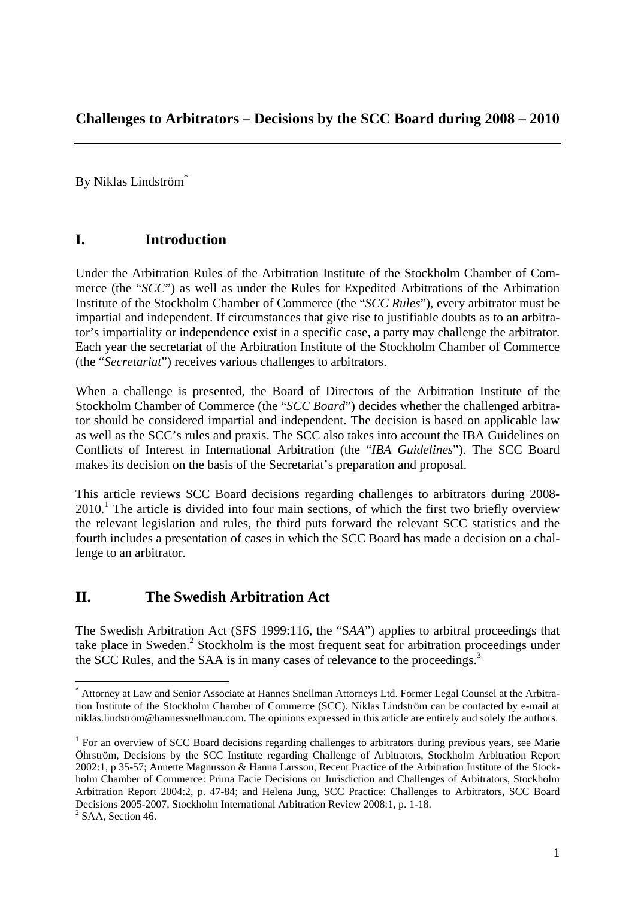By Niklas Lindström\*

# **I. Introduction**

Under the Arbitration Rules of the Arbitration Institute of the Stockholm Chamber of Commerce (the "*SCC*") as well as under the Rules for Expedited Arbitrations of the Arbitration Institute of the Stockholm Chamber of Commerce (the "*SCC Rules*"), every arbitrator must be impartial and independent. If circumstances that give rise to justifiable doubts as to an arbitrator's impartiality or independence exist in a specific case, a party may challenge the arbitrator. Each year the secretariat of the Arbitration Institute of the Stockholm Chamber of Commerce (the "*Secretariat*") receives various challenges to arbitrators.

When a challenge is presented, the Board of Directors of the Arbitration Institute of the Stockholm Chamber of Commerce (the "*SCC Board*") decides whether the challenged arbitrator should be considered impartial and independent. The decision is based on applicable law as well as the SCC's rules and praxis. The SCC also takes into account the IBA Guidelines on Conflicts of Interest in International Arbitration (the "*IBA Guidelines*"). The SCC Board makes its decision on the basis of the Secretariat's preparation and proposal.

This article reviews SCC Board decisions regarding challenges to arbitrators during 2008- 2010.<sup>1</sup> The article is divided into four main sections, of which the first two briefly overview the relevant legislation and rules, the third puts forward the relevant SCC statistics and the fourth includes a presentation of cases in which the SCC Board has made a decision on a challenge to an arbitrator.

# **II. The Swedish Arbitration Act**

1

The Swedish Arbitration Act (SFS 1999:116, the "S*AA*") applies to arbitral proceedings that take place in Sweden.<sup>2</sup> Stockholm is the most frequent seat for arbitration proceedings under the SCC Rules, and the SAA is in many cases of relevance to the proceedings.<sup>3</sup>

<sup>\*</sup> Attorney at Law and Senior Associate at Hannes Snellman Attorneys Ltd. Former Legal Counsel at the Arbitration Institute of the Stockholm Chamber of Commerce (SCC). Niklas Lindström can be contacted by e-mail at niklas.lindstrom@hannessnellman.com. The opinions expressed in this article are entirely and solely the authors.

<sup>&</sup>lt;sup>1</sup> For an overview of SCC Board decisions regarding challenges to arbitrators during previous years, see Marie Öhrström, Decisions by the SCC Institute regarding Challenge of Arbitrators, Stockholm Arbitration Report 2002:1, p 35-57; Annette Magnusson & Hanna Larsson, Recent Practice of the Arbitration Institute of the Stockholm Chamber of Commerce: Prima Facie Decisions on Jurisdiction and Challenges of Arbitrators, Stockholm Arbitration Report 2004:2, p. 47-84; and Helena Jung, SCC Practice: Challenges to Arbitrators, SCC Board Decisions 2005-2007, Stockholm International Arbitration Review 2008:1, p. 1-18.  $2$  SAA, Section 46.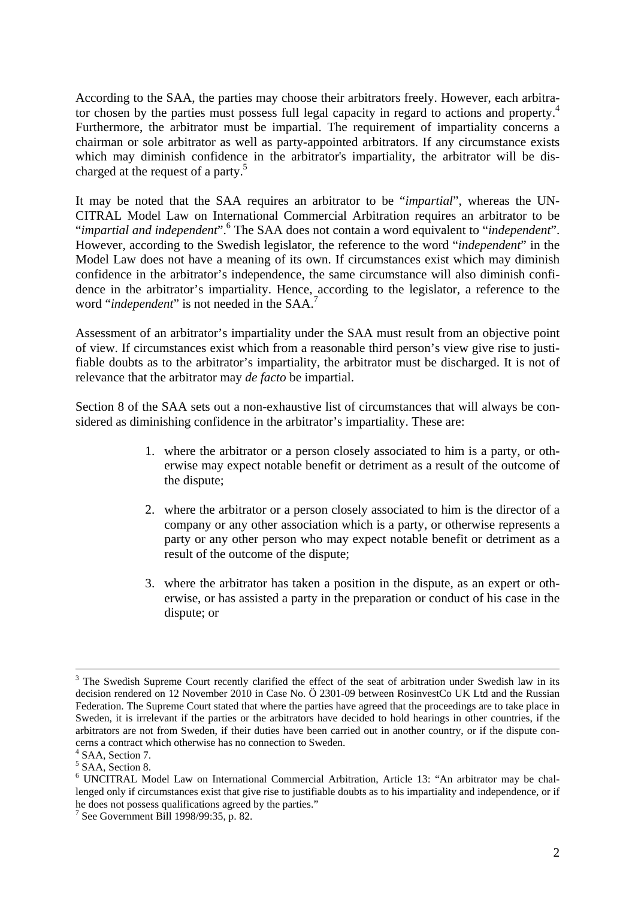According to the SAA, the parties may choose their arbitrators freely. However, each arbitrator chosen by the parties must possess full legal capacity in regard to actions and property.<sup>4</sup> Furthermore, the arbitrator must be impartial. The requirement of impartiality concerns a chairman or sole arbitrator as well as party-appointed arbitrators. If any circumstance exists which may diminish confidence in the arbitrator's impartiality, the arbitrator will be discharged at the request of a party.<sup>5</sup>

It may be noted that the SAA requires an arbitrator to be "*impartial*", whereas the UN-CITRAL Model Law on International Commercial Arbitration requires an arbitrator to be "*impartial and independent*". <sup>6</sup> The SAA does not contain a word equivalent to "*independent*". However, according to the Swedish legislator, the reference to the word "*independent*" in the Model Law does not have a meaning of its own. If circumstances exist which may diminish confidence in the arbitrator's independence, the same circumstance will also diminish confidence in the arbitrator's impartiality. Hence, according to the legislator, a reference to the word "*independent*" is not needed in the SAA.<sup>7</sup>

Assessment of an arbitrator's impartiality under the SAA must result from an objective point of view. If circumstances exist which from a reasonable third person's view give rise to justifiable doubts as to the arbitrator's impartiality, the arbitrator must be discharged. It is not of relevance that the arbitrator may *de facto* be impartial.

Section 8 of the SAA sets out a non-exhaustive list of circumstances that will always be considered as diminishing confidence in the arbitrator's impartiality. These are:

- 1. where the arbitrator or a person closely associated to him is a party, or otherwise may expect notable benefit or detriment as a result of the outcome of the dispute;
- 2. where the arbitrator or a person closely associated to him is the director of a company or any other association which is a party, or otherwise represents a party or any other person who may expect notable benefit or detriment as a result of the outcome of the dispute;
- 3. where the arbitrator has taken a position in the dispute, as an expert or otherwise, or has assisted a party in the preparation or conduct of his case in the dispute; or

 $\frac{1}{3}$ <sup>3</sup> The Swedish Supreme Court recently clarified the effect of the seat of arbitration under Swedish law in its decision rendered on 12 November 2010 in Case No. Ö 2301-09 between RosinvestCo UK Ltd and the Russian Federation. The Supreme Court stated that where the parties have agreed that the proceedings are to take place in Sweden, it is irrelevant if the parties or the arbitrators have decided to hold hearings in other countries, if the arbitrators are not from Sweden, if their duties have been carried out in another country, or if the dispute concerns a contract which otherwise has no connection to Sweden.

<sup>&</sup>lt;sup>4</sup> SAA, Section 7.

<sup>&</sup>lt;sup>5</sup> SAA, Section 8.

<sup>&</sup>lt;sup>6</sup> UNCITRAL Model Law on International Commercial Arbitration, Article 13: "An arbitrator may be challenged only if circumstances exist that give rise to justifiable doubts as to his impartiality and independence, or if he does not possess qualifications agreed by the parties."

<sup>7</sup> See Government Bill 1998/99:35, p. 82.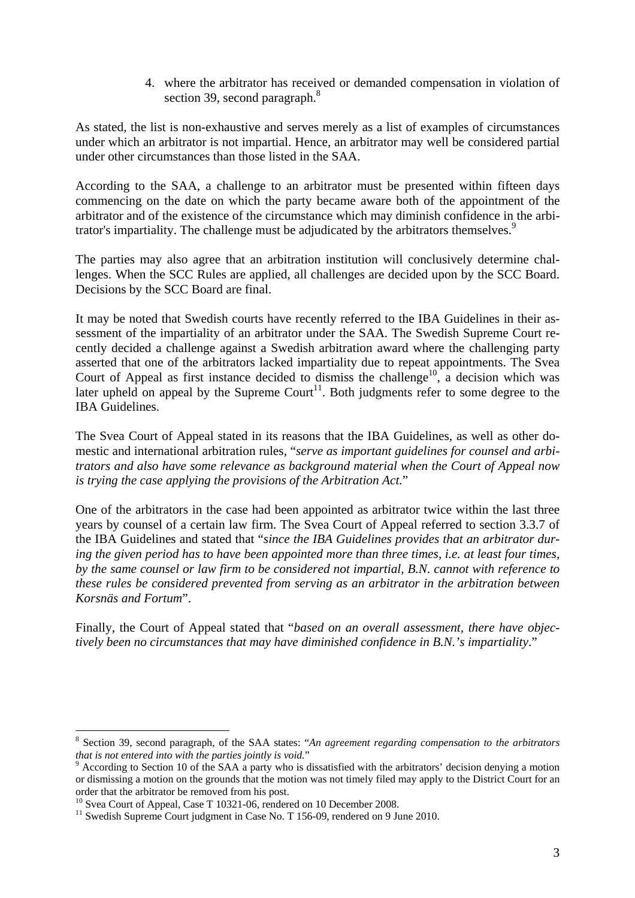4. where the arbitrator has received or demanded compensation in violation of section 39, second paragraph.<sup>8</sup>

As stated, the list is non-exhaustive and serves merely as a list of examples of circumstances under which an arbitrator is not impartial. Hence, an arbitrator may well be considered partial under other circumstances than those listed in the SAA.

According to the SAA, a challenge to an arbitrator must be presented within fifteen days commencing on the date on which the party became aware both of the appointment of the arbitrator and of the existence of the circumstance which may diminish confidence in the arbitrator's impartiality. The challenge must be adjudicated by the arbitrators themselves.<sup>9</sup>

The parties may also agree that an arbitration institution will conclusively determine challenges. When the SCC Rules are applied, all challenges are decided upon by the SCC Board. Decisions by the SCC Board are final.

It may be noted that Swedish courts have recently referred to the IBA Guidelines in their assessment of the impartiality of an arbitrator under the SAA. The Swedish Supreme Court recently decided a challenge against a Swedish arbitration award where the challenging party asserted that one of the arbitrators lacked impartiality due to repeat appointments. The Svea Court of Appeal as first instance decided to dismiss the challenge<sup>10</sup>, a decision which was later upheld on appeal by the Supreme Court<sup>11</sup>. Both judgments refer to some degree to the IBA Guidelines.

The Svea Court of Appeal stated in its reasons that the IBA Guidelines, as well as other domestic and international arbitration rules, "*serve as important guidelines for counsel and arbitrators and also have some relevance as background material when the Court of Appeal now is trying the case applying the provisions of the Arbitration Act.*"

One of the arbitrators in the case had been appointed as arbitrator twice within the last three years by counsel of a certain law firm. The Svea Court of Appeal referred to section 3.3.7 of the IBA Guidelines and stated that "*since the IBA Guidelines provides that an arbitrator during the given period has to have been appointed more than three times, i.e. at least four times, by the same counsel or law firm to be considered not impartial, B.N. cannot with reference to these rules be considered prevented from serving as an arbitrator in the arbitration between Korsnäs and Fortum*".

Finally, the Court of Appeal stated that "*based on an overall assessment, there have objectively been no circumstances that may have diminished confidence in B.N.'s impartiality*."

1

<sup>8</sup> Section 39, second paragraph, of the SAA states: "*An agreement regarding compensation to the arbitrators that is not entered into with the parties jointly is void.*"

 $9$  According to Section 10 of the SAA a party who is dissatisfied with the arbitrators' decision denying a motion or dismissing a motion on the grounds that the motion was not timely filed may apply to the District Court for an order that the arbitrator be removed from his post.<br><sup>10</sup> Svea Court of Appeal, Case T 10321-06, rendered on 10 December 2008.

<sup>&</sup>lt;sup>11</sup> Swedish Supreme Court judgment in Case No. T 156-09, rendered on 9 June 2010.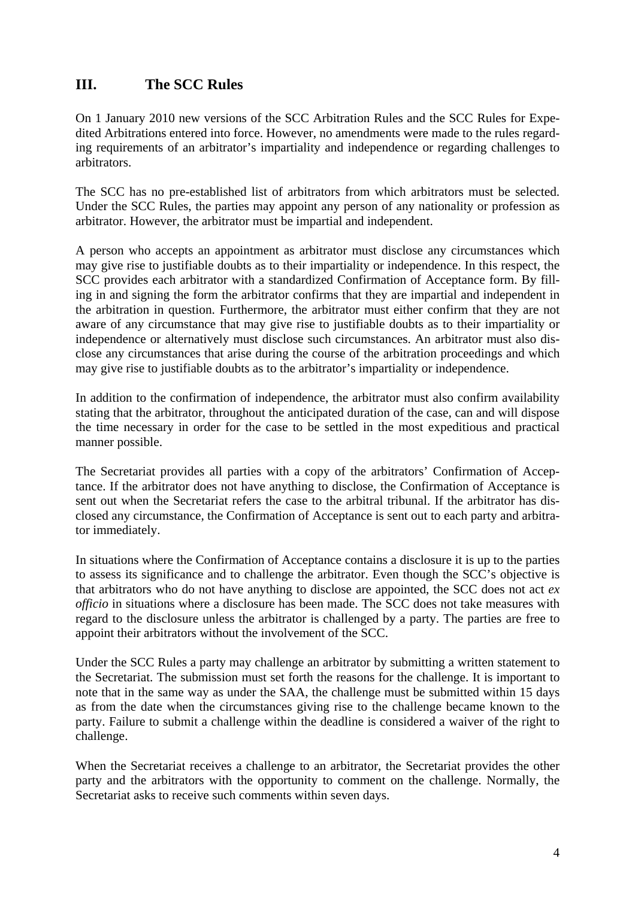# **III. The SCC Rules**

On 1 January 2010 new versions of the SCC Arbitration Rules and the SCC Rules for Expedited Arbitrations entered into force. However, no amendments were made to the rules regarding requirements of an arbitrator's impartiality and independence or regarding challenges to arbitrators.

The SCC has no pre-established list of arbitrators from which arbitrators must be selected. Under the SCC Rules, the parties may appoint any person of any nationality or profession as arbitrator. However, the arbitrator must be impartial and independent.

A person who accepts an appointment as arbitrator must disclose any circumstances which may give rise to justifiable doubts as to their impartiality or independence. In this respect, the SCC provides each arbitrator with a standardized Confirmation of Acceptance form. By filling in and signing the form the arbitrator confirms that they are impartial and independent in the arbitration in question. Furthermore, the arbitrator must either confirm that they are not aware of any circumstance that may give rise to justifiable doubts as to their impartiality or independence or alternatively must disclose such circumstances. An arbitrator must also disclose any circumstances that arise during the course of the arbitration proceedings and which may give rise to justifiable doubts as to the arbitrator's impartiality or independence.

In addition to the confirmation of independence, the arbitrator must also confirm availability stating that the arbitrator, throughout the anticipated duration of the case, can and will dispose the time necessary in order for the case to be settled in the most expeditious and practical manner possible.

The Secretariat provides all parties with a copy of the arbitrators' Confirmation of Acceptance. If the arbitrator does not have anything to disclose, the Confirmation of Acceptance is sent out when the Secretariat refers the case to the arbitral tribunal. If the arbitrator has disclosed any circumstance, the Confirmation of Acceptance is sent out to each party and arbitrator immediately.

In situations where the Confirmation of Acceptance contains a disclosure it is up to the parties to assess its significance and to challenge the arbitrator. Even though the SCC's objective is that arbitrators who do not have anything to disclose are appointed, the SCC does not act *ex officio* in situations where a disclosure has been made. The SCC does not take measures with regard to the disclosure unless the arbitrator is challenged by a party. The parties are free to appoint their arbitrators without the involvement of the SCC.

Under the SCC Rules a party may challenge an arbitrator by submitting a written statement to the Secretariat. The submission must set forth the reasons for the challenge. It is important to note that in the same way as under the SAA, the challenge must be submitted within 15 days as from the date when the circumstances giving rise to the challenge became known to the party. Failure to submit a challenge within the deadline is considered a waiver of the right to challenge.

When the Secretariat receives a challenge to an arbitrator, the Secretariat provides the other party and the arbitrators with the opportunity to comment on the challenge. Normally, the Secretariat asks to receive such comments within seven days.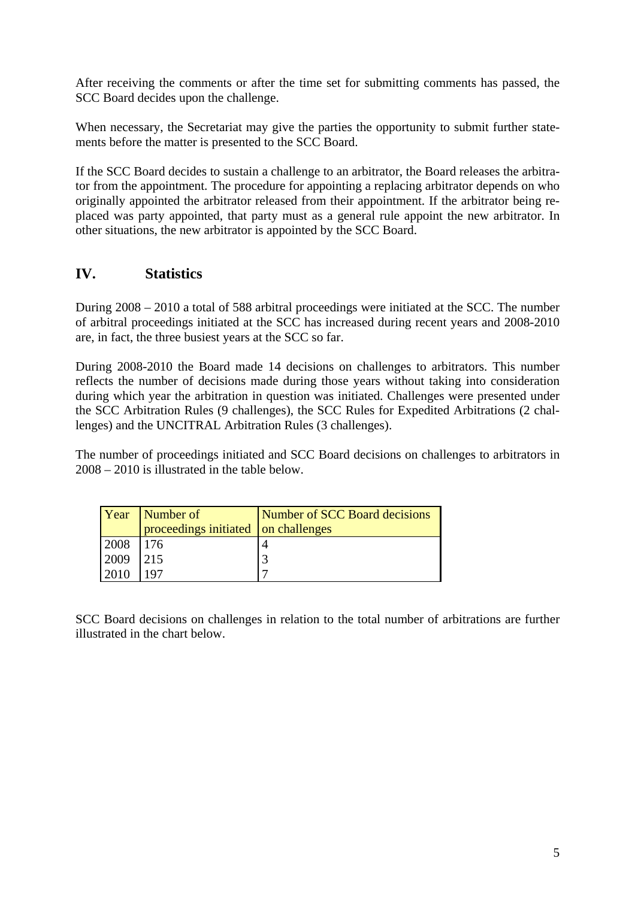After receiving the comments or after the time set for submitting comments has passed, the SCC Board decides upon the challenge.

When necessary, the Secretariat may give the parties the opportunity to submit further statements before the matter is presented to the SCC Board.

If the SCC Board decides to sustain a challenge to an arbitrator, the Board releases the arbitrator from the appointment. The procedure for appointing a replacing arbitrator depends on who originally appointed the arbitrator released from their appointment. If the arbitrator being replaced was party appointed, that party must as a general rule appoint the new arbitrator. In other situations, the new arbitrator is appointed by the SCC Board.

# **IV. Statistics**

During 2008 – 2010 a total of 588 arbitral proceedings were initiated at the SCC. The number of arbitral proceedings initiated at the SCC has increased during recent years and 2008-2010 are, in fact, the three busiest years at the SCC so far.

During 2008-2010 the Board made 14 decisions on challenges to arbitrators. This number reflects the number of decisions made during those years without taking into consideration during which year the arbitration in question was initiated. Challenges were presented under the SCC Arbitration Rules (9 challenges), the SCC Rules for Expedited Arbitrations (2 challenges) and the UNCITRAL Arbitration Rules (3 challenges).

The number of proceedings initiated and SCC Board decisions on challenges to arbitrators in 2008 – 2010 is illustrated in the table below.

| Year | Number of<br>proceedings initiated on challenges | Number of SCC Board decisions |
|------|--------------------------------------------------|-------------------------------|
|      |                                                  |                               |
| 2008 | 176                                              |                               |
| 2009 | 215                                              |                               |
| 2010 |                                                  |                               |

SCC Board decisions on challenges in relation to the total number of arbitrations are further illustrated in the chart below.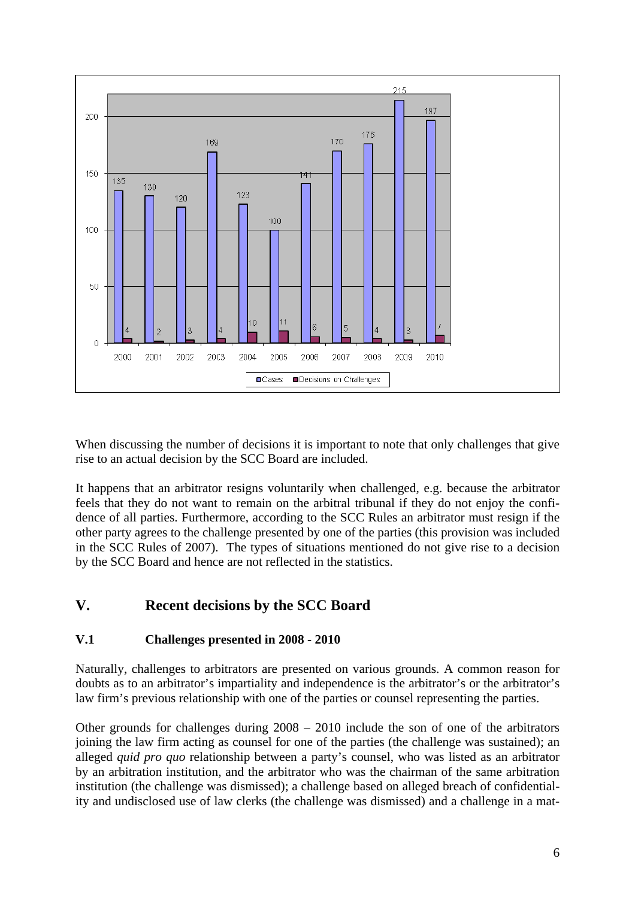

When discussing the number of decisions it is important to note that only challenges that give rise to an actual decision by the SCC Board are included.

It happens that an arbitrator resigns voluntarily when challenged, e.g. because the arbitrator feels that they do not want to remain on the arbitral tribunal if they do not enjoy the confidence of all parties. Furthermore, according to the SCC Rules an arbitrator must resign if the other party agrees to the challenge presented by one of the parties (this provision was included in the SCC Rules of 2007). The types of situations mentioned do not give rise to a decision by the SCC Board and hence are not reflected in the statistics.

# **V. Recent decisions by the SCC Board**

# **V.1 Challenges presented in 2008 - 2010**

Naturally, challenges to arbitrators are presented on various grounds. A common reason for doubts as to an arbitrator's impartiality and independence is the arbitrator's or the arbitrator's law firm's previous relationship with one of the parties or counsel representing the parties.

Other grounds for challenges during 2008 – 2010 include the son of one of the arbitrators joining the law firm acting as counsel for one of the parties (the challenge was sustained); an alleged *quid pro quo* relationship between a party's counsel, who was listed as an arbitrator by an arbitration institution, and the arbitrator who was the chairman of the same arbitration institution (the challenge was dismissed); a challenge based on alleged breach of confidentiality and undisclosed use of law clerks (the challenge was dismissed) and a challenge in a mat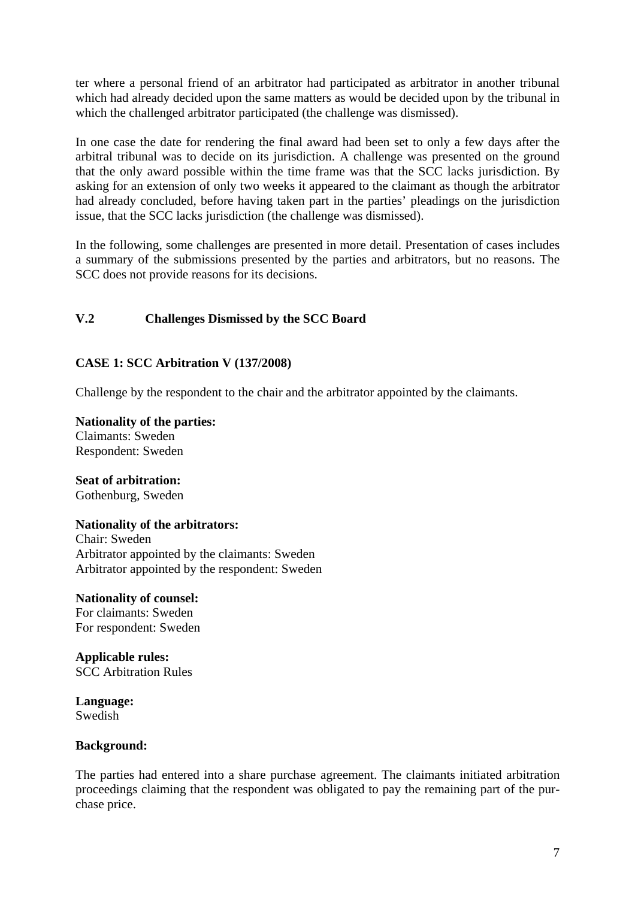ter where a personal friend of an arbitrator had participated as arbitrator in another tribunal which had already decided upon the same matters as would be decided upon by the tribunal in which the challenged arbitrator participated (the challenge was dismissed).

In one case the date for rendering the final award had been set to only a few days after the arbitral tribunal was to decide on its jurisdiction. A challenge was presented on the ground that the only award possible within the time frame was that the SCC lacks jurisdiction. By asking for an extension of only two weeks it appeared to the claimant as though the arbitrator had already concluded, before having taken part in the parties' pleadings on the jurisdiction issue, that the SCC lacks jurisdiction (the challenge was dismissed).

In the following, some challenges are presented in more detail. Presentation of cases includes a summary of the submissions presented by the parties and arbitrators, but no reasons. The SCC does not provide reasons for its decisions.

# **V.2 Challenges Dismissed by the SCC Board**

# **CASE 1: SCC Arbitration V (137/2008)**

Challenge by the respondent to the chair and the arbitrator appointed by the claimants.

**Nationality of the parties:**  Claimants: Sweden Respondent: Sweden

**Seat of arbitration:**  Gothenburg, Sweden

# **Nationality of the arbitrators:**

Chair: Sweden Arbitrator appointed by the claimants: Sweden Arbitrator appointed by the respondent: Sweden

**Nationality of counsel:**  For claimants: Sweden For respondent: Sweden

**Applicable rules:**  SCC Arbitration Rules

**Language:**  Swedish

# **Background:**

The parties had entered into a share purchase agreement. The claimants initiated arbitration proceedings claiming that the respondent was obligated to pay the remaining part of the purchase price.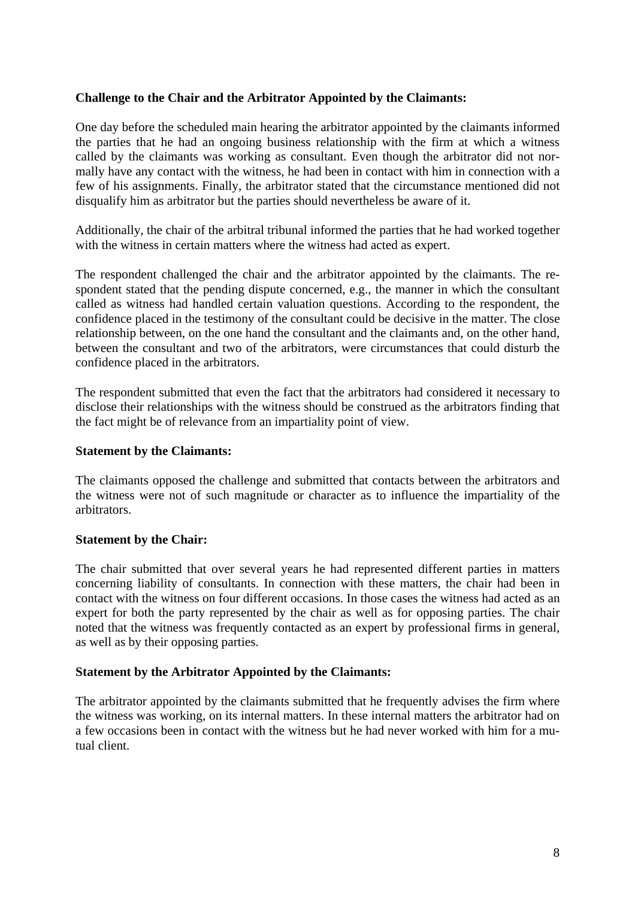### **Challenge to the Chair and the Arbitrator Appointed by the Claimants:**

One day before the scheduled main hearing the arbitrator appointed by the claimants informed the parties that he had an ongoing business relationship with the firm at which a witness called by the claimants was working as consultant. Even though the arbitrator did not normally have any contact with the witness, he had been in contact with him in connection with a few of his assignments. Finally, the arbitrator stated that the circumstance mentioned did not disqualify him as arbitrator but the parties should nevertheless be aware of it.

Additionally, the chair of the arbitral tribunal informed the parties that he had worked together with the witness in certain matters where the witness had acted as expert.

The respondent challenged the chair and the arbitrator appointed by the claimants. The respondent stated that the pending dispute concerned, e.g., the manner in which the consultant called as witness had handled certain valuation questions. According to the respondent, the confidence placed in the testimony of the consultant could be decisive in the matter. The close relationship between, on the one hand the consultant and the claimants and, on the other hand, between the consultant and two of the arbitrators, were circumstances that could disturb the confidence placed in the arbitrators.

The respondent submitted that even the fact that the arbitrators had considered it necessary to disclose their relationships with the witness should be construed as the arbitrators finding that the fact might be of relevance from an impartiality point of view.

# **Statement by the Claimants:**

The claimants opposed the challenge and submitted that contacts between the arbitrators and the witness were not of such magnitude or character as to influence the impartiality of the arbitrators.

### **Statement by the Chair:**

The chair submitted that over several years he had represented different parties in matters concerning liability of consultants. In connection with these matters, the chair had been in contact with the witness on four different occasions. In those cases the witness had acted as an expert for both the party represented by the chair as well as for opposing parties. The chair noted that the witness was frequently contacted as an expert by professional firms in general, as well as by their opposing parties.

### **Statement by the Arbitrator Appointed by the Claimants:**

The arbitrator appointed by the claimants submitted that he frequently advises the firm where the witness was working, on its internal matters. In these internal matters the arbitrator had on a few occasions been in contact with the witness but he had never worked with him for a mutual client.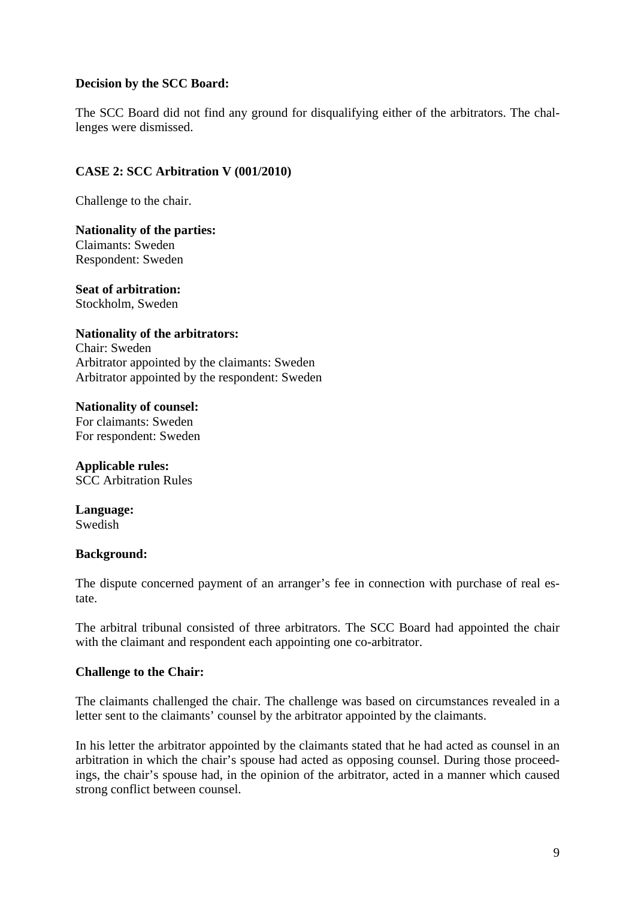### **Decision by the SCC Board:**

The SCC Board did not find any ground for disqualifying either of the arbitrators. The challenges were dismissed.

### **CASE 2: SCC Arbitration V (001/2010)**

Challenge to the chair.

**Nationality of the parties:**  Claimants: Sweden Respondent: Sweden

**Seat of arbitration:**  Stockholm, Sweden

**Nationality of the arbitrators:**  Chair: Sweden Arbitrator appointed by the claimants: Sweden Arbitrator appointed by the respondent: Sweden

**Nationality of counsel:**  For claimants: Sweden For respondent: Sweden

**Applicable rules:**  SCC Arbitration Rules

**Language:**  Swedish

### **Background:**

The dispute concerned payment of an arranger's fee in connection with purchase of real estate.

The arbitral tribunal consisted of three arbitrators. The SCC Board had appointed the chair with the claimant and respondent each appointing one co-arbitrator.

### **Challenge to the Chair:**

The claimants challenged the chair. The challenge was based on circumstances revealed in a letter sent to the claimants' counsel by the arbitrator appointed by the claimants.

In his letter the arbitrator appointed by the claimants stated that he had acted as counsel in an arbitration in which the chair's spouse had acted as opposing counsel. During those proceedings, the chair's spouse had, in the opinion of the arbitrator, acted in a manner which caused strong conflict between counsel.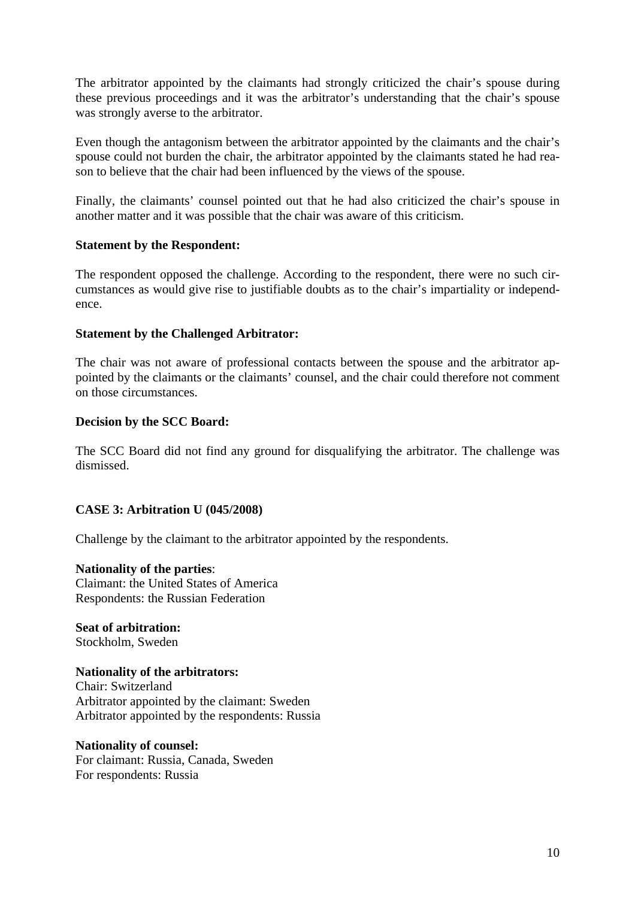The arbitrator appointed by the claimants had strongly criticized the chair's spouse during these previous proceedings and it was the arbitrator's understanding that the chair's spouse was strongly averse to the arbitrator.

Even though the antagonism between the arbitrator appointed by the claimants and the chair's spouse could not burden the chair, the arbitrator appointed by the claimants stated he had reason to believe that the chair had been influenced by the views of the spouse.

Finally, the claimants' counsel pointed out that he had also criticized the chair's spouse in another matter and it was possible that the chair was aware of this criticism.

### **Statement by the Respondent:**

The respondent opposed the challenge. According to the respondent, there were no such circumstances as would give rise to justifiable doubts as to the chair's impartiality or independence.

### **Statement by the Challenged Arbitrator:**

The chair was not aware of professional contacts between the spouse and the arbitrator appointed by the claimants or the claimants' counsel, and the chair could therefore not comment on those circumstances.

### **Decision by the SCC Board:**

The SCC Board did not find any ground for disqualifying the arbitrator. The challenge was dismissed.

# **CASE 3: Arbitration U (045/2008)**

Challenge by the claimant to the arbitrator appointed by the respondents.

### **Nationality of the parties**:

Claimant: the United States of America Respondents: the Russian Federation

**Seat of arbitration:**  Stockholm, Sweden

**Nationality of the arbitrators:**  Chair: Switzerland Arbitrator appointed by the claimant: Sweden Arbitrator appointed by the respondents: Russia

**Nationality of counsel:**  For claimant: Russia, Canada, Sweden For respondents: Russia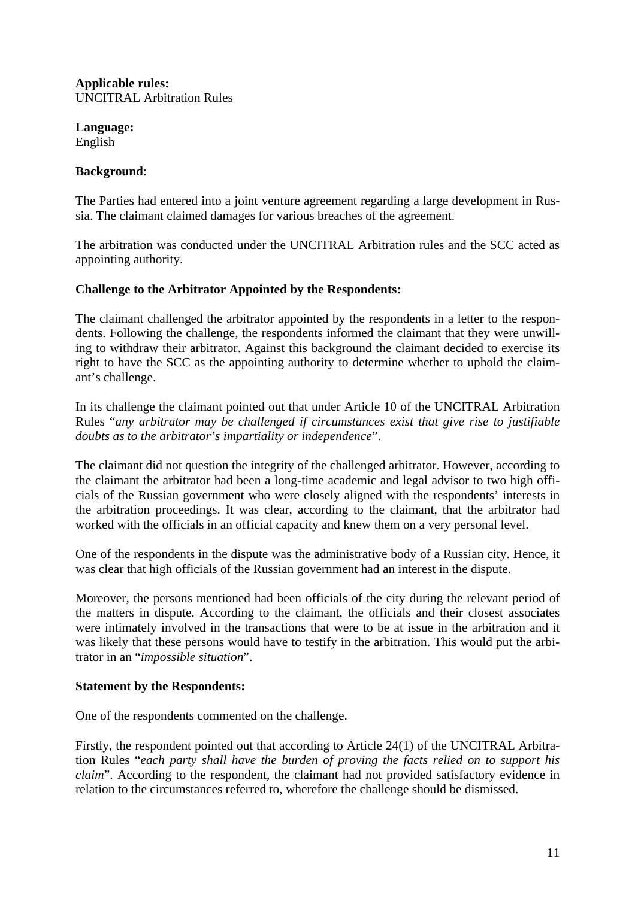**Applicable rules:**  UNCITRAL Arbitration Rules

**Language:**  English

### **Background**:

The Parties had entered into a joint venture agreement regarding a large development in Russia. The claimant claimed damages for various breaches of the agreement.

The arbitration was conducted under the UNCITRAL Arbitration rules and the SCC acted as appointing authority.

# **Challenge to the Arbitrator Appointed by the Respondents:**

The claimant challenged the arbitrator appointed by the respondents in a letter to the respondents. Following the challenge, the respondents informed the claimant that they were unwilling to withdraw their arbitrator. Against this background the claimant decided to exercise its right to have the SCC as the appointing authority to determine whether to uphold the claimant's challenge.

In its challenge the claimant pointed out that under Article 10 of the UNCITRAL Arbitration Rules "*any arbitrator may be challenged if circumstances exist that give rise to justifiable doubts as to the arbitrator's impartiality or independence*".

The claimant did not question the integrity of the challenged arbitrator. However, according to the claimant the arbitrator had been a long-time academic and legal advisor to two high officials of the Russian government who were closely aligned with the respondents' interests in the arbitration proceedings. It was clear, according to the claimant, that the arbitrator had worked with the officials in an official capacity and knew them on a very personal level.

One of the respondents in the dispute was the administrative body of a Russian city. Hence, it was clear that high officials of the Russian government had an interest in the dispute.

Moreover, the persons mentioned had been officials of the city during the relevant period of the matters in dispute. According to the claimant, the officials and their closest associates were intimately involved in the transactions that were to be at issue in the arbitration and it was likely that these persons would have to testify in the arbitration. This would put the arbitrator in an "*impossible situation*".

### **Statement by the Respondents:**

One of the respondents commented on the challenge.

Firstly, the respondent pointed out that according to Article 24(1) of the UNCITRAL Arbitration Rules "*each party shall have the burden of proving the facts relied on to support his claim*". According to the respondent, the claimant had not provided satisfactory evidence in relation to the circumstances referred to, wherefore the challenge should be dismissed.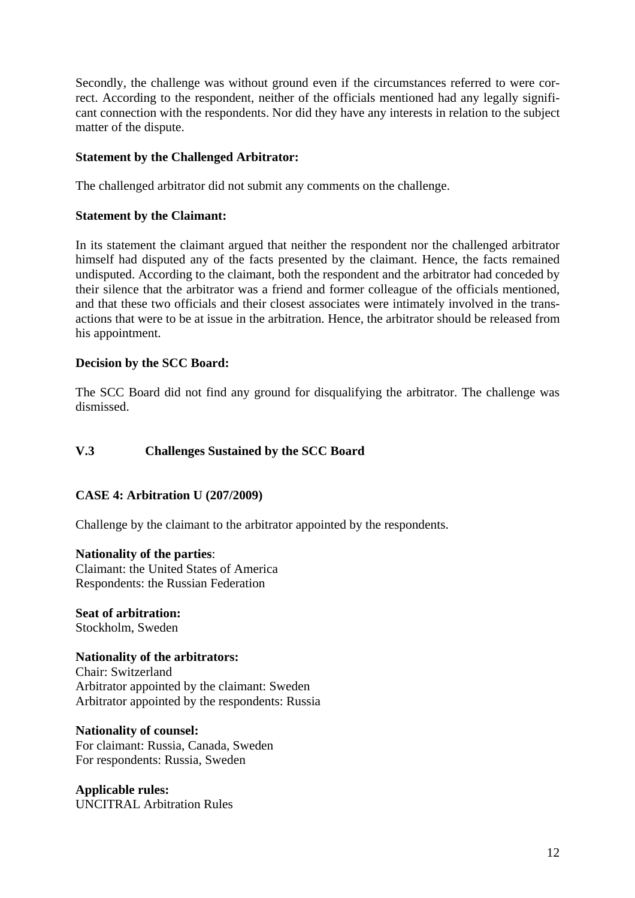Secondly, the challenge was without ground even if the circumstances referred to were correct. According to the respondent, neither of the officials mentioned had any legally significant connection with the respondents. Nor did they have any interests in relation to the subject matter of the dispute.

### **Statement by the Challenged Arbitrator:**

The challenged arbitrator did not submit any comments on the challenge.

### **Statement by the Claimant:**

In its statement the claimant argued that neither the respondent nor the challenged arbitrator himself had disputed any of the facts presented by the claimant. Hence, the facts remained undisputed. According to the claimant, both the respondent and the arbitrator had conceded by their silence that the arbitrator was a friend and former colleague of the officials mentioned, and that these two officials and their closest associates were intimately involved in the transactions that were to be at issue in the arbitration. Hence, the arbitrator should be released from his appointment.

### **Decision by the SCC Board:**

The SCC Board did not find any ground for disqualifying the arbitrator. The challenge was dismissed.

### **V.3 Challenges Sustained by the SCC Board**

### **CASE 4: Arbitration U (207/2009)**

Challenge by the claimant to the arbitrator appointed by the respondents.

### **Nationality of the parties**: Claimant: the United States of America Respondents: the Russian Federation

**Seat of arbitration:**  Stockholm, Sweden

### **Nationality of the arbitrators:**

Chair: Switzerland Arbitrator appointed by the claimant: Sweden Arbitrator appointed by the respondents: Russia

### **Nationality of counsel:**

For claimant: Russia, Canada, Sweden For respondents: Russia, Sweden

**Applicable rules:**  UNCITRAL Arbitration Rules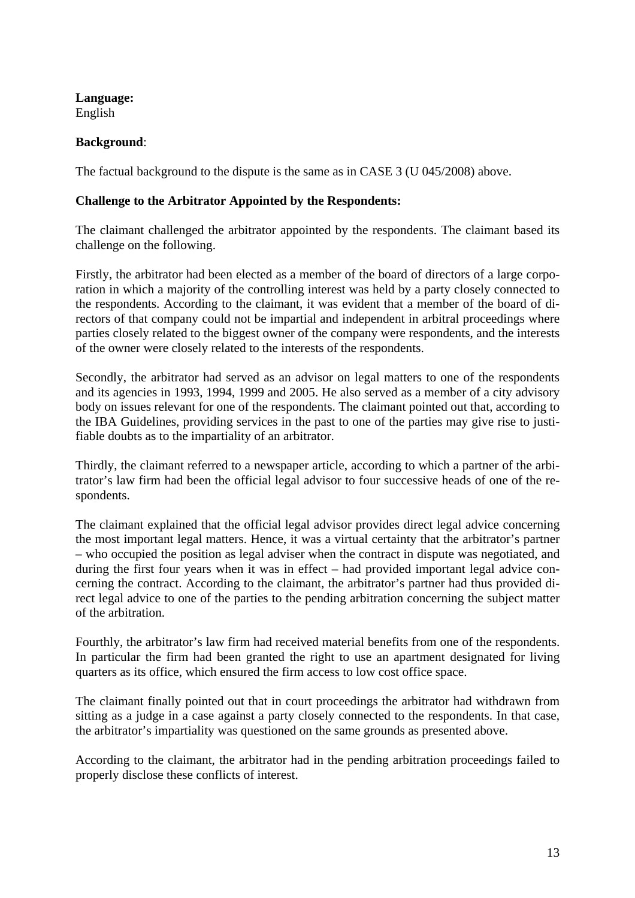**Language:**  English

# **Background**:

The factual background to the dispute is the same as in CASE 3 (U 045/2008) above.

# **Challenge to the Arbitrator Appointed by the Respondents:**

The claimant challenged the arbitrator appointed by the respondents. The claimant based its challenge on the following.

Firstly, the arbitrator had been elected as a member of the board of directors of a large corporation in which a majority of the controlling interest was held by a party closely connected to the respondents. According to the claimant, it was evident that a member of the board of directors of that company could not be impartial and independent in arbitral proceedings where parties closely related to the biggest owner of the company were respondents, and the interests of the owner were closely related to the interests of the respondents.

Secondly, the arbitrator had served as an advisor on legal matters to one of the respondents and its agencies in 1993, 1994, 1999 and 2005. He also served as a member of a city advisory body on issues relevant for one of the respondents. The claimant pointed out that, according to the IBA Guidelines, providing services in the past to one of the parties may give rise to justifiable doubts as to the impartiality of an arbitrator.

Thirdly, the claimant referred to a newspaper article, according to which a partner of the arbitrator's law firm had been the official legal advisor to four successive heads of one of the respondents.

The claimant explained that the official legal advisor provides direct legal advice concerning the most important legal matters. Hence, it was a virtual certainty that the arbitrator's partner – who occupied the position as legal adviser when the contract in dispute was negotiated, and during the first four years when it was in effect – had provided important legal advice concerning the contract. According to the claimant, the arbitrator's partner had thus provided direct legal advice to one of the parties to the pending arbitration concerning the subject matter of the arbitration.

Fourthly, the arbitrator's law firm had received material benefits from one of the respondents. In particular the firm had been granted the right to use an apartment designated for living quarters as its office, which ensured the firm access to low cost office space.

The claimant finally pointed out that in court proceedings the arbitrator had withdrawn from sitting as a judge in a case against a party closely connected to the respondents. In that case, the arbitrator's impartiality was questioned on the same grounds as presented above.

According to the claimant, the arbitrator had in the pending arbitration proceedings failed to properly disclose these conflicts of interest.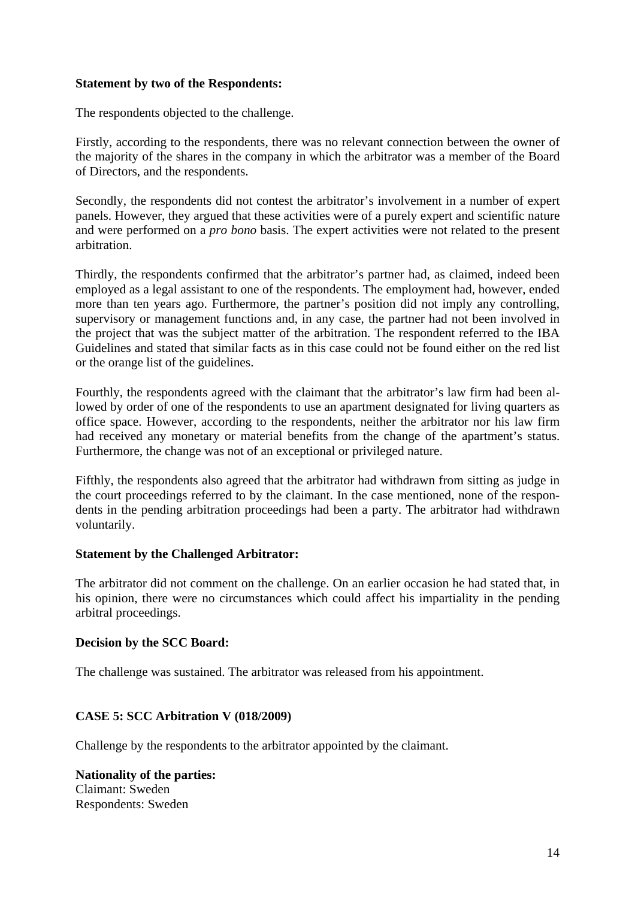### **Statement by two of the Respondents:**

The respondents objected to the challenge.

Firstly, according to the respondents, there was no relevant connection between the owner of the majority of the shares in the company in which the arbitrator was a member of the Board of Directors, and the respondents.

Secondly, the respondents did not contest the arbitrator's involvement in a number of expert panels. However, they argued that these activities were of a purely expert and scientific nature and were performed on a *pro bono* basis. The expert activities were not related to the present arbitration.

Thirdly, the respondents confirmed that the arbitrator's partner had, as claimed, indeed been employed as a legal assistant to one of the respondents. The employment had, however, ended more than ten years ago. Furthermore, the partner's position did not imply any controlling, supervisory or management functions and, in any case, the partner had not been involved in the project that was the subject matter of the arbitration. The respondent referred to the IBA Guidelines and stated that similar facts as in this case could not be found either on the red list or the orange list of the guidelines.

Fourthly, the respondents agreed with the claimant that the arbitrator's law firm had been allowed by order of one of the respondents to use an apartment designated for living quarters as office space. However, according to the respondents, neither the arbitrator nor his law firm had received any monetary or material benefits from the change of the apartment's status. Furthermore, the change was not of an exceptional or privileged nature.

Fifthly, the respondents also agreed that the arbitrator had withdrawn from sitting as judge in the court proceedings referred to by the claimant. In the case mentioned, none of the respondents in the pending arbitration proceedings had been a party. The arbitrator had withdrawn voluntarily.

# **Statement by the Challenged Arbitrator:**

The arbitrator did not comment on the challenge. On an earlier occasion he had stated that, in his opinion, there were no circumstances which could affect his impartiality in the pending arbitral proceedings.

### **Decision by the SCC Board:**

The challenge was sustained. The arbitrator was released from his appointment.

# **CASE 5: SCC Arbitration V (018/2009)**

Challenge by the respondents to the arbitrator appointed by the claimant.

**Nationality of the parties:**  Claimant: Sweden Respondents: Sweden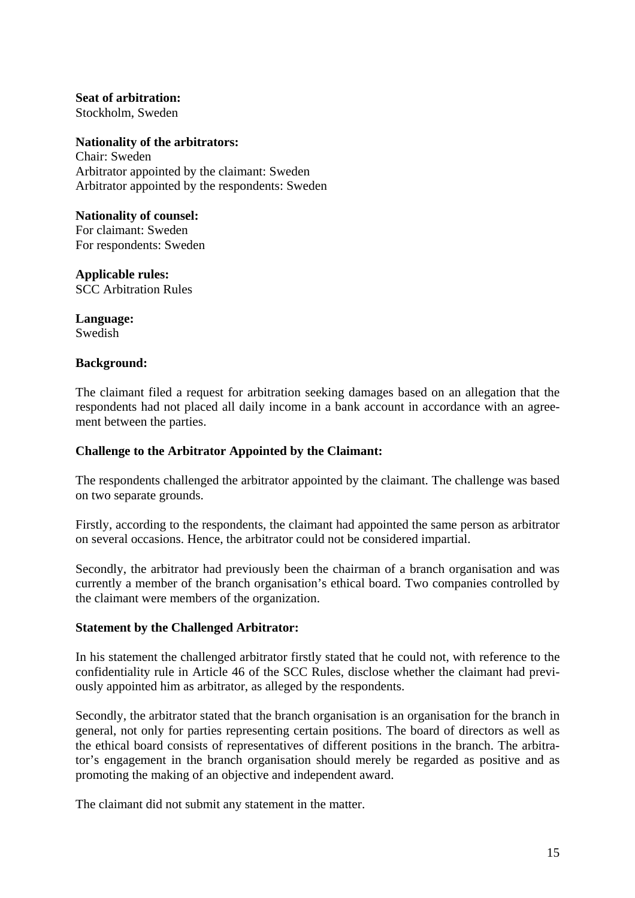**Seat of arbitration:**  Stockholm, Sweden

**Nationality of the arbitrators:**  Chair: Sweden Arbitrator appointed by the claimant: Sweden Arbitrator appointed by the respondents: Sweden

### **Nationality of counsel:**

For claimant: Sweden For respondents: Sweden

**Applicable rules:** 

SCC Arbitration Rules

**Language:**  Swedish

### **Background:**

The claimant filed a request for arbitration seeking damages based on an allegation that the respondents had not placed all daily income in a bank account in accordance with an agreement between the parties.

### **Challenge to the Arbitrator Appointed by the Claimant:**

The respondents challenged the arbitrator appointed by the claimant. The challenge was based on two separate grounds.

Firstly, according to the respondents, the claimant had appointed the same person as arbitrator on several occasions. Hence, the arbitrator could not be considered impartial.

Secondly, the arbitrator had previously been the chairman of a branch organisation and was currently a member of the branch organisation's ethical board. Two companies controlled by the claimant were members of the organization.

### **Statement by the Challenged Arbitrator:**

In his statement the challenged arbitrator firstly stated that he could not, with reference to the confidentiality rule in Article 46 of the SCC Rules, disclose whether the claimant had previously appointed him as arbitrator, as alleged by the respondents.

Secondly, the arbitrator stated that the branch organisation is an organisation for the branch in general, not only for parties representing certain positions. The board of directors as well as the ethical board consists of representatives of different positions in the branch. The arbitrator's engagement in the branch organisation should merely be regarded as positive and as promoting the making of an objective and independent award.

The claimant did not submit any statement in the matter.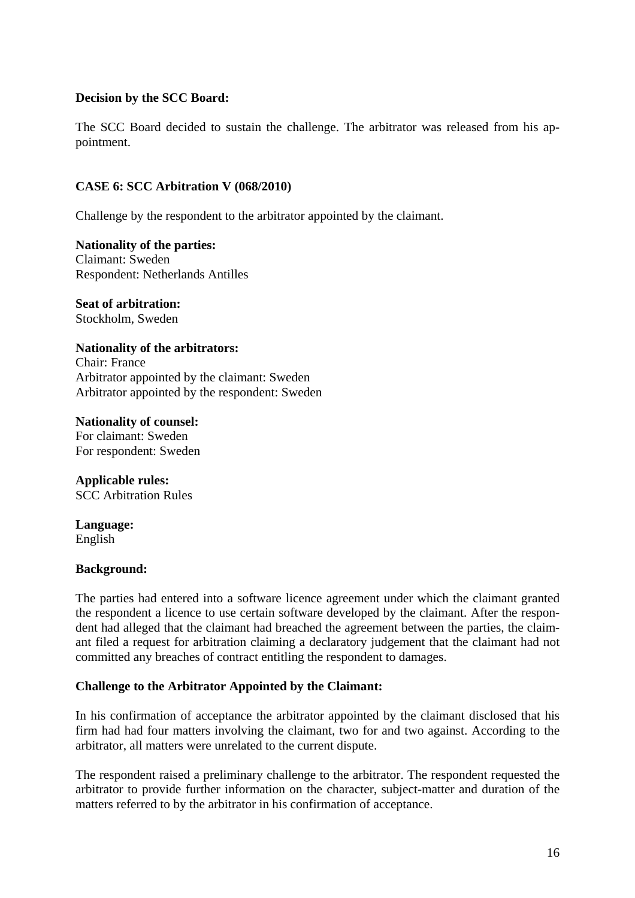### **Decision by the SCC Board:**

The SCC Board decided to sustain the challenge. The arbitrator was released from his appointment.

### **CASE 6: SCC Arbitration V (068/2010)**

Challenge by the respondent to the arbitrator appointed by the claimant.

**Nationality of the parties:**  Claimant: Sweden Respondent: Netherlands Antilles

**Seat of arbitration:**  Stockholm, Sweden

# **Nationality of the arbitrators:**

Chair: France Arbitrator appointed by the claimant: Sweden Arbitrator appointed by the respondent: Sweden

**Nationality of counsel:**  For claimant: Sweden For respondent: Sweden

**Applicable rules:**  SCC Arbitration Rules

**Language:**  English

### **Background:**

The parties had entered into a software licence agreement under which the claimant granted the respondent a licence to use certain software developed by the claimant. After the respondent had alleged that the claimant had breached the agreement between the parties, the claimant filed a request for arbitration claiming a declaratory judgement that the claimant had not committed any breaches of contract entitling the respondent to damages.

# **Challenge to the Arbitrator Appointed by the Claimant:**

In his confirmation of acceptance the arbitrator appointed by the claimant disclosed that his firm had had four matters involving the claimant, two for and two against. According to the arbitrator, all matters were unrelated to the current dispute.

The respondent raised a preliminary challenge to the arbitrator. The respondent requested the arbitrator to provide further information on the character, subject-matter and duration of the matters referred to by the arbitrator in his confirmation of acceptance.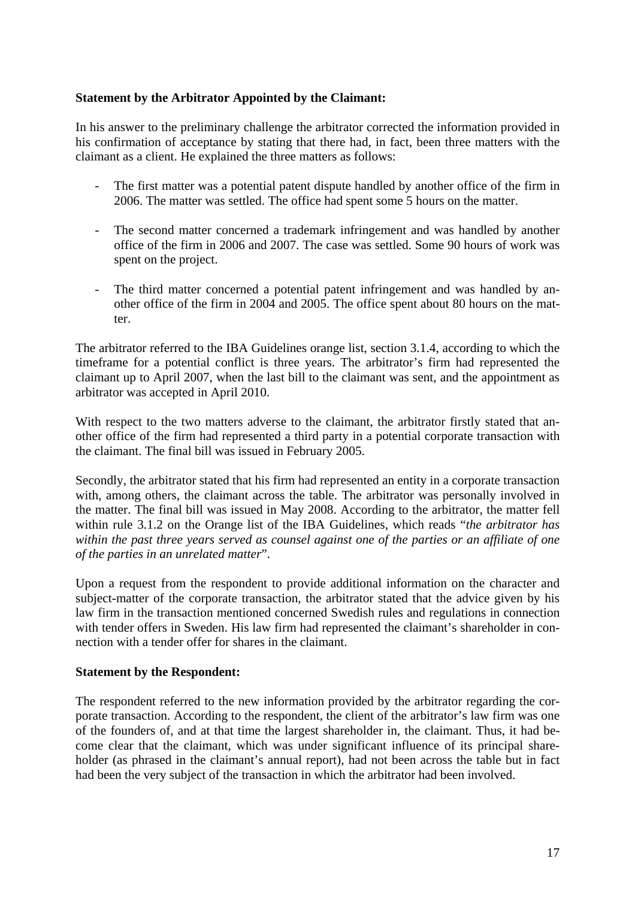### **Statement by the Arbitrator Appointed by the Claimant:**

In his answer to the preliminary challenge the arbitrator corrected the information provided in his confirmation of acceptance by stating that there had, in fact, been three matters with the claimant as a client. He explained the three matters as follows:

- The first matter was a potential patent dispute handled by another office of the firm in 2006. The matter was settled. The office had spent some 5 hours on the matter.
- The second matter concerned a trademark infringement and was handled by another office of the firm in 2006 and 2007. The case was settled. Some 90 hours of work was spent on the project.
- The third matter concerned a potential patent infringement and was handled by another office of the firm in 2004 and 2005. The office spent about 80 hours on the matter.

The arbitrator referred to the IBA Guidelines orange list, section 3.1.4, according to which the timeframe for a potential conflict is three years. The arbitrator's firm had represented the claimant up to April 2007, when the last bill to the claimant was sent, and the appointment as arbitrator was accepted in April 2010.

With respect to the two matters adverse to the claimant, the arbitrator firstly stated that another office of the firm had represented a third party in a potential corporate transaction with the claimant. The final bill was issued in February 2005.

Secondly, the arbitrator stated that his firm had represented an entity in a corporate transaction with, among others, the claimant across the table. The arbitrator was personally involved in the matter. The final bill was issued in May 2008. According to the arbitrator, the matter fell within rule 3.1.2 on the Orange list of the IBA Guidelines, which reads "*the arbitrator has within the past three years served as counsel against one of the parties or an affiliate of one of the parties in an unrelated matter*".

Upon a request from the respondent to provide additional information on the character and subject-matter of the corporate transaction, the arbitrator stated that the advice given by his law firm in the transaction mentioned concerned Swedish rules and regulations in connection with tender offers in Sweden. His law firm had represented the claimant's shareholder in connection with a tender offer for shares in the claimant.

### **Statement by the Respondent:**

The respondent referred to the new information provided by the arbitrator regarding the corporate transaction. According to the respondent, the client of the arbitrator's law firm was one of the founders of, and at that time the largest shareholder in, the claimant. Thus, it had become clear that the claimant, which was under significant influence of its principal shareholder (as phrased in the claimant's annual report), had not been across the table but in fact had been the very subject of the transaction in which the arbitrator had been involved.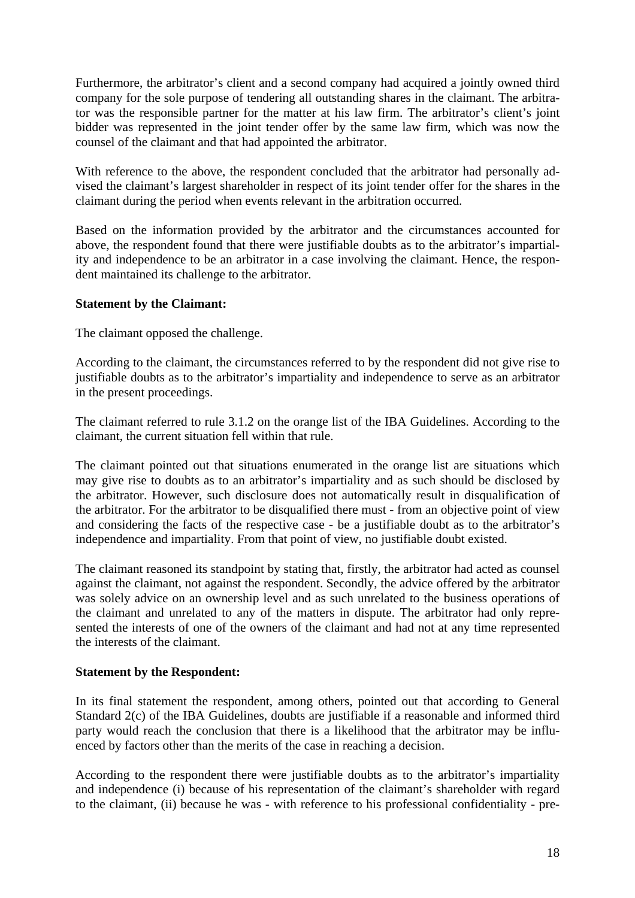Furthermore, the arbitrator's client and a second company had acquired a jointly owned third company for the sole purpose of tendering all outstanding shares in the claimant. The arbitrator was the responsible partner for the matter at his law firm. The arbitrator's client's joint bidder was represented in the joint tender offer by the same law firm, which was now the counsel of the claimant and that had appointed the arbitrator.

With reference to the above, the respondent concluded that the arbitrator had personally advised the claimant's largest shareholder in respect of its joint tender offer for the shares in the claimant during the period when events relevant in the arbitration occurred.

Based on the information provided by the arbitrator and the circumstances accounted for above, the respondent found that there were justifiable doubts as to the arbitrator's impartiality and independence to be an arbitrator in a case involving the claimant. Hence, the respondent maintained its challenge to the arbitrator.

### **Statement by the Claimant:**

The claimant opposed the challenge.

According to the claimant, the circumstances referred to by the respondent did not give rise to justifiable doubts as to the arbitrator's impartiality and independence to serve as an arbitrator in the present proceedings.

The claimant referred to rule 3.1.2 on the orange list of the IBA Guidelines. According to the claimant, the current situation fell within that rule.

The claimant pointed out that situations enumerated in the orange list are situations which may give rise to doubts as to an arbitrator's impartiality and as such should be disclosed by the arbitrator. However, such disclosure does not automatically result in disqualification of the arbitrator. For the arbitrator to be disqualified there must - from an objective point of view and considering the facts of the respective case - be a justifiable doubt as to the arbitrator's independence and impartiality. From that point of view, no justifiable doubt existed.

The claimant reasoned its standpoint by stating that, firstly, the arbitrator had acted as counsel against the claimant, not against the respondent. Secondly, the advice offered by the arbitrator was solely advice on an ownership level and as such unrelated to the business operations of the claimant and unrelated to any of the matters in dispute. The arbitrator had only represented the interests of one of the owners of the claimant and had not at any time represented the interests of the claimant.

# **Statement by the Respondent:**

In its final statement the respondent, among others, pointed out that according to General Standard 2(c) of the IBA Guidelines, doubts are justifiable if a reasonable and informed third party would reach the conclusion that there is a likelihood that the arbitrator may be influenced by factors other than the merits of the case in reaching a decision.

According to the respondent there were justifiable doubts as to the arbitrator's impartiality and independence (i) because of his representation of the claimant's shareholder with regard to the claimant, (ii) because he was - with reference to his professional confidentiality - pre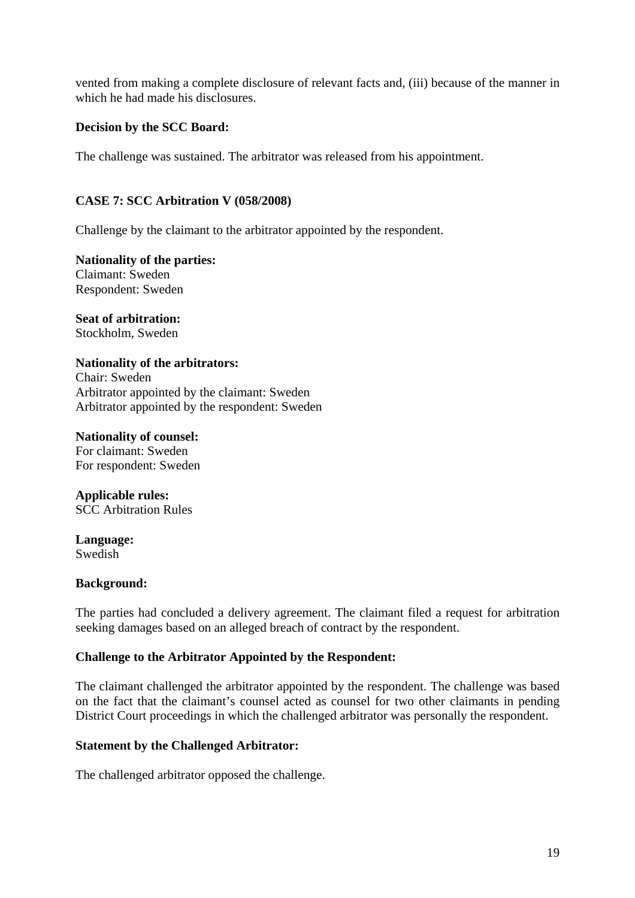vented from making a complete disclosure of relevant facts and, (iii) because of the manner in which he had made his disclosures.

# **Decision by the SCC Board:**

The challenge was sustained. The arbitrator was released from his appointment.

### **CASE 7: SCC Arbitration V (058/2008)**

Challenge by the claimant to the arbitrator appointed by the respondent.

**Nationality of the parties:**  Claimant: Sweden Respondent: Sweden

**Seat of arbitration:**  Stockholm, Sweden

### **Nationality of the arbitrators:**

Chair: Sweden Arbitrator appointed by the claimant: Sweden Arbitrator appointed by the respondent: Sweden

#### **Nationality of counsel:**

For claimant: Sweden For respondent: Sweden

**Applicable rules:**  SCC Arbitration Rules

**Language:**  Swedish

### **Background:**

The parties had concluded a delivery agreement. The claimant filed a request for arbitration seeking damages based on an alleged breach of contract by the respondent.

### **Challenge to the Arbitrator Appointed by the Respondent:**

The claimant challenged the arbitrator appointed by the respondent. The challenge was based on the fact that the claimant's counsel acted as counsel for two other claimants in pending District Court proceedings in which the challenged arbitrator was personally the respondent.

### **Statement by the Challenged Arbitrator:**

The challenged arbitrator opposed the challenge.